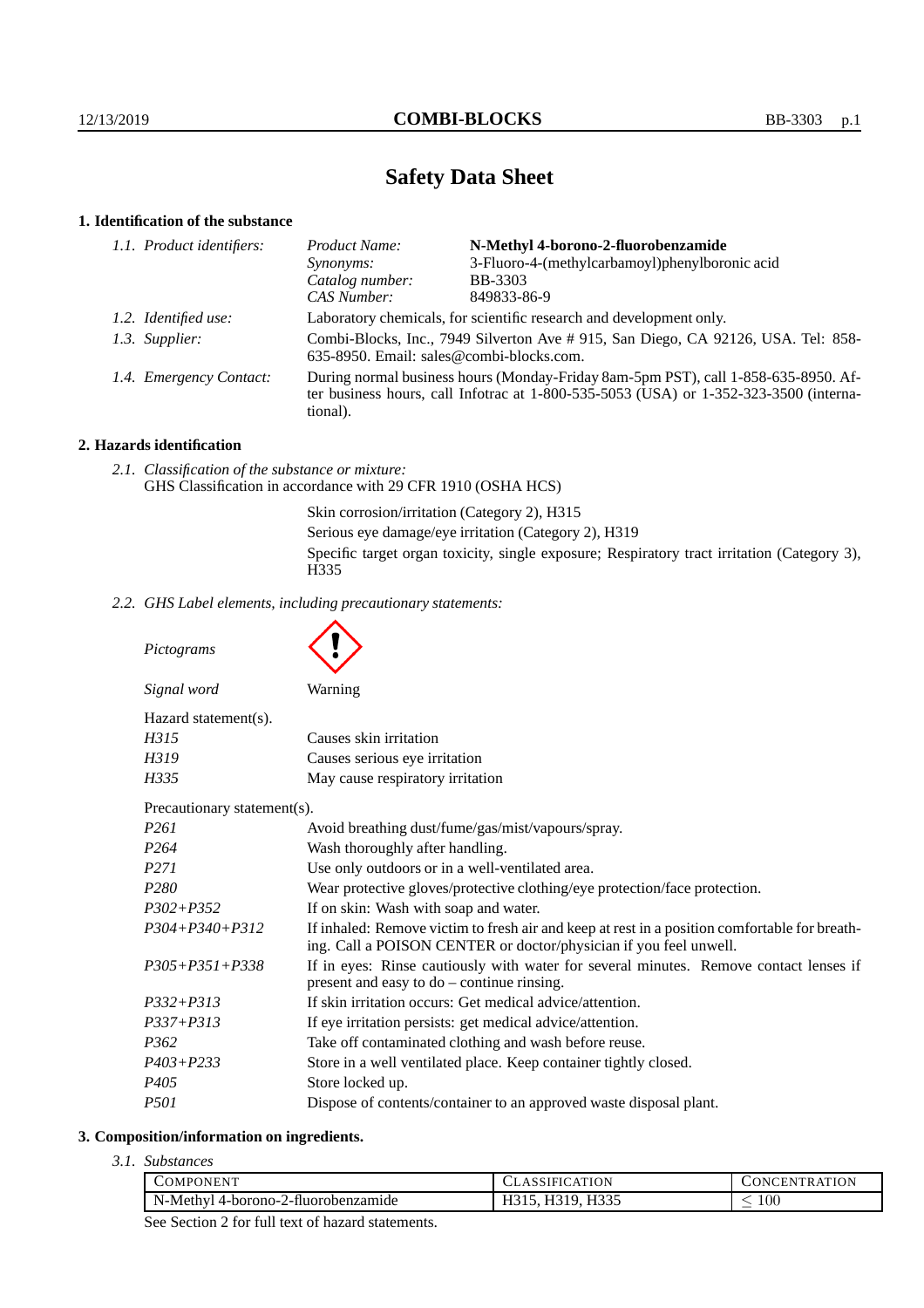# **Safety Data Sheet**

# **1. Identification of the substance**

| Product Name:                                                                                                                                                                               | N-Methyl 4-borono-2-fluorobenzamide            |
|---------------------------------------------------------------------------------------------------------------------------------------------------------------------------------------------|------------------------------------------------|
| Synonyms:                                                                                                                                                                                   | 3-Fluoro-4-(methylcarbamoyl)phenylboronic acid |
| Catalog number:                                                                                                                                                                             | <b>BB-3303</b>                                 |
| CAS Number:                                                                                                                                                                                 | 849833-86-9                                    |
| Laboratory chemicals, for scientific research and development only.                                                                                                                         |                                                |
| Combi-Blocks, Inc., 7949 Silverton Ave #915, San Diego, CA 92126, USA. Tel: 858-<br>635-8950. Email: sales@combi-blocks.com.                                                                |                                                |
| During normal business hours (Monday-Friday 8am-5pm PST), call 1-858-635-8950. Af-<br>ter business hours, call Infotrac at $1-800-535-5053$ (USA) or $1-352-323-3500$ (interna-<br>tional). |                                                |
| 1.1. Product identifiers:<br>1.2. Identified use:<br>1.3. Supplier:<br>1.4. Emergency Contact:                                                                                              |                                                |

## **2. Hazards identification**

*2.1. Classification of the substance or mixture:* GHS Classification in accordance with 29 CFR 1910 (OSHA HCS)

> Skin corrosion/irritation (Category 2), H315 Serious eye damage/eye irritation (Category 2), H319 Specific target organ toxicity, single exposure; Respiratory tract irritation (Category 3), H335

*2.2. GHS Label elements, including precautionary statements:*

*Pictograms*

| Signal word                 | <b>Warning</b>                                                                                                                                                     |  |
|-----------------------------|--------------------------------------------------------------------------------------------------------------------------------------------------------------------|--|
| Hazard statement(s).        |                                                                                                                                                                    |  |
| H315                        | Causes skin irritation                                                                                                                                             |  |
| H319                        | Causes serious eye irritation                                                                                                                                      |  |
| H335                        | May cause respiratory irritation                                                                                                                                   |  |
| Precautionary statement(s). |                                                                                                                                                                    |  |
| <i>P261</i>                 | Avoid breathing dust/fume/gas/mist/vapours/spray.                                                                                                                  |  |
| P <sub>264</sub>            | Wash thoroughly after handling.                                                                                                                                    |  |
| P <sub>271</sub>            | Use only outdoors or in a well-ventilated area.                                                                                                                    |  |
| P <sub>280</sub>            | Wear protective gloves/protective clothing/eye protection/face protection.                                                                                         |  |
| $P302 + P352$               | If on skin: Wash with soap and water.                                                                                                                              |  |
| $P304 + P340 + P312$        | If inhaled: Remove victim to fresh air and keep at rest in a position comfortable for breath-<br>ing. Call a POISON CENTER or doctor/physician if you feel unwell. |  |
| $P305 + P351 + P338$        | If in eves: Rinse cautiously with water for several minutes. Remove contact lenses if                                                                              |  |

*P305+P351+P338* If in eyes: Rinse cautiously with water for several minutes. Remove contact lenses if present and easy to do – continue rinsing.

| P332+P313 | If skin irritation occurs: Get medical advice/attention. |
|-----------|----------------------------------------------------------|
|           |                                                          |

*P337+P313* If eye irritation persists: get medical advice/attention.

- *P362* Take off contaminated clothing and wash before reuse.
- *P403+P233* Store in a well ventilated place. Keep container tightly closed.
- *P405* Store locked up.
- *P501* Dispose of contents/container to an approved waste disposal plant.

#### **3. Composition/information on ingredients.**

*3.1. Substances*

| <b>NENT</b><br>`OMP(,               | ATION<br>1 F 1 0<br>ΔI       | ATION<br><b>INI</b><br>HN.<br>`ום יש |
|-------------------------------------|------------------------------|--------------------------------------|
| N-Methyl 4-borono-2-fluorobenzamide | H335<br>.<br>-----<br>11010, | 100                                  |

See Section 2 for full text of hazard statements.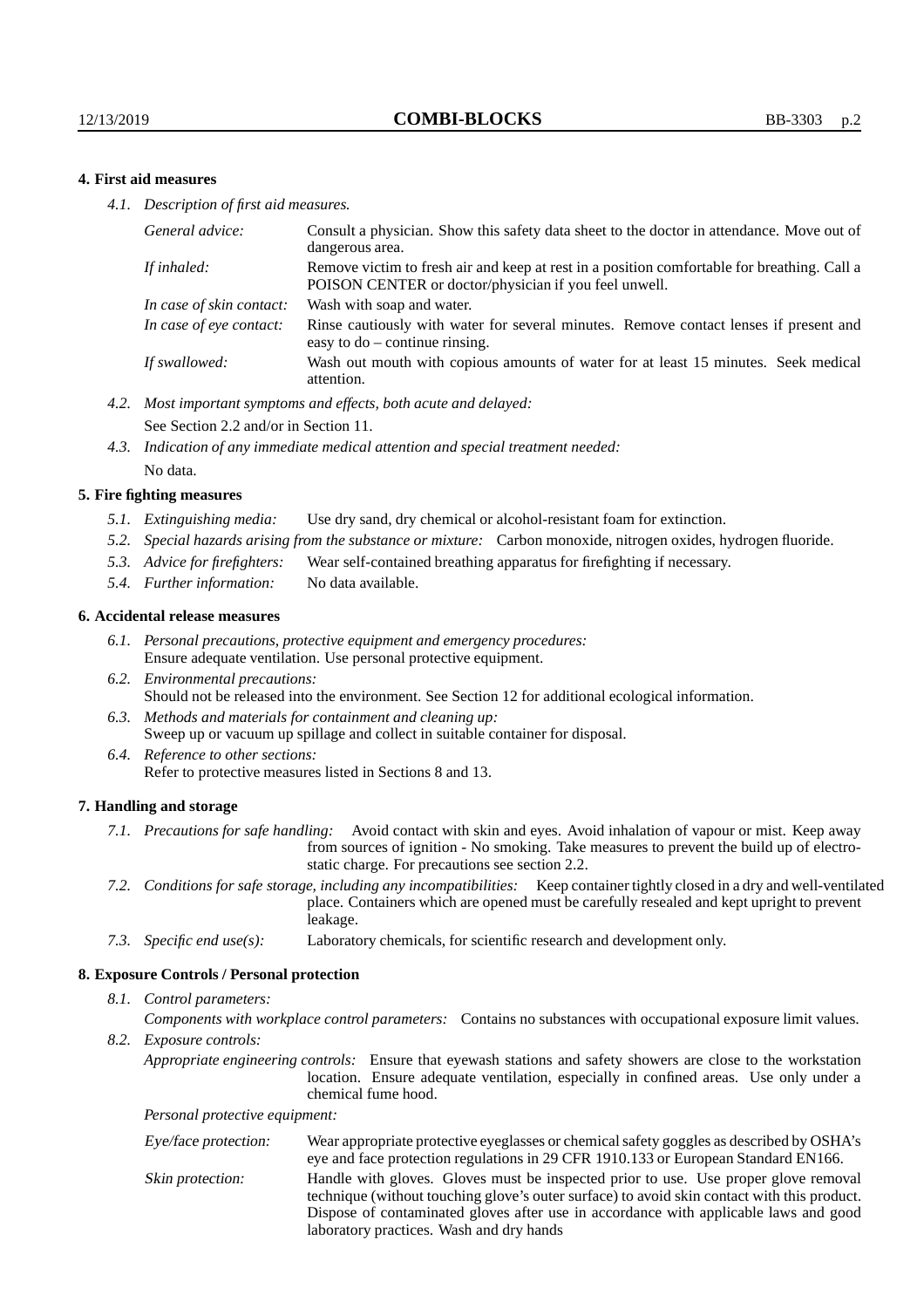### **4. First aid measures**

*4.1. Description of first aid measures.*

| General advice:          | Consult a physician. Show this safety data sheet to the doctor in attendance. Move out of<br>dangerous area.                                         |
|--------------------------|------------------------------------------------------------------------------------------------------------------------------------------------------|
| If inhaled:              | Remove victim to fresh air and keep at rest in a position comfortable for breathing. Call a<br>POISON CENTER or doctor/physician if you feel unwell. |
| In case of skin contact: | Wash with soap and water.                                                                                                                            |
| In case of eve contact:  | Rinse cautiously with water for several minutes. Remove contact lenses if present and<br>easy to $do$ – continue rinsing.                            |
| If swallowed:            | Wash out mouth with copious amounts of water for at least 15 minutes. Seek medical<br>attention.                                                     |

- *4.2. Most important symptoms and effects, both acute and delayed:* See Section 2.2 and/or in Section 11.
- *4.3. Indication of any immediate medical attention and special treatment needed:* No data.

#### **5. Fire fighting measures**

- *5.1. Extinguishing media:* Use dry sand, dry chemical or alcohol-resistant foam for extinction.
- *5.2. Special hazards arising from the substance or mixture:* Carbon monoxide, nitrogen oxides, hydrogen fluoride.
- *5.3. Advice for firefighters:* Wear self-contained breathing apparatus for firefighting if necessary.
- *5.4. Further information:* No data available.

#### **6. Accidental release measures**

- *6.1. Personal precautions, protective equipment and emergency procedures:* Ensure adequate ventilation. Use personal protective equipment.
- *6.2. Environmental precautions:* Should not be released into the environment. See Section 12 for additional ecological information.
- *6.3. Methods and materials for containment and cleaning up:* Sweep up or vacuum up spillage and collect in suitable container for disposal.
- *6.4. Reference to other sections:* Refer to protective measures listed in Sections 8 and 13.

#### **7. Handling and storage**

- *7.1. Precautions for safe handling:* Avoid contact with skin and eyes. Avoid inhalation of vapour or mist. Keep away from sources of ignition - No smoking. Take measures to prevent the build up of electrostatic charge. For precautions see section 2.2.
- *7.2. Conditions for safe storage, including any incompatibilities:* Keep container tightly closed in a dry and well-ventilated place. Containers which are opened must be carefully resealed and kept upright to prevent leakage.
- *7.3. Specific end use(s):* Laboratory chemicals, for scientific research and development only.

#### **8. Exposure Controls / Personal protection**

*8.1. Control parameters:*

*Components with workplace control parameters:* Contains no substances with occupational exposure limit values.

*8.2. Exposure controls:*

*Appropriate engineering controls:* Ensure that eyewash stations and safety showers are close to the workstation location. Ensure adequate ventilation, especially in confined areas. Use only under a chemical fume hood.

*Personal protective equipment:*

| Eye/face protection: | Wear appropriate protective eyeglasses or chemical safety goggles as described by OSHA's<br>eye and face protection regulations in 29 CFR 1910.133 or European Standard EN166.                                                                                                                                         |
|----------------------|------------------------------------------------------------------------------------------------------------------------------------------------------------------------------------------------------------------------------------------------------------------------------------------------------------------------|
| Skin protection:     | Handle with gloves. Gloves must be inspected prior to use. Use proper glove removal<br>technique (without touching glove's outer surface) to avoid skin contact with this product.<br>Dispose of contaminated gloves after use in accordance with applicable laws and good<br>laboratory practices. Wash and dry hands |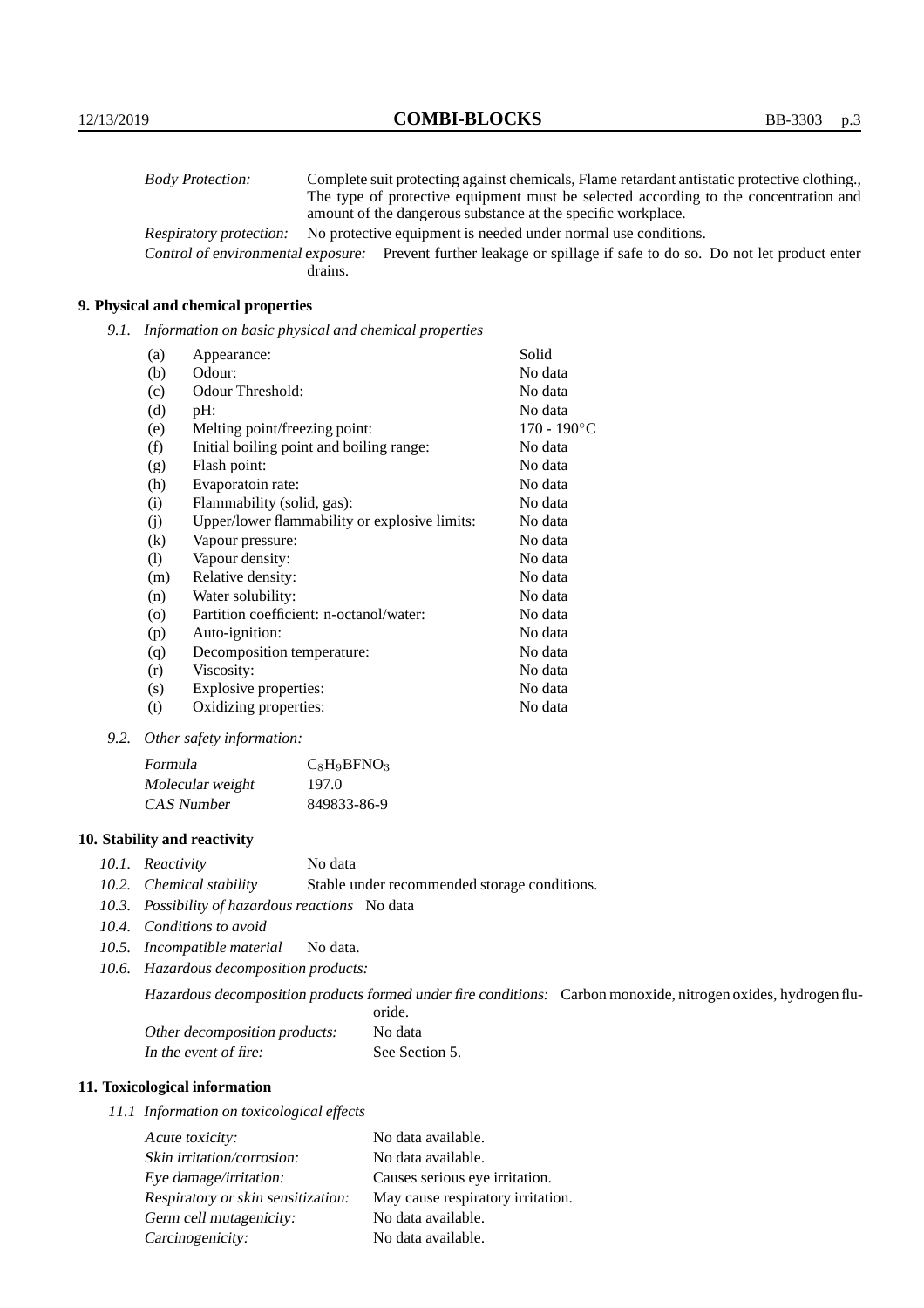| <b>Body Protection:</b> | Complete suit protecting against chemicals, Flame retardant antistatic protective clothing.                       |
|-------------------------|-------------------------------------------------------------------------------------------------------------------|
|                         | The type of protective equipment must be selected according to the concentration and                              |
|                         | amount of the dangerous substance at the specific workplace.                                                      |
| Respiratory protection: | No protective equipment is needed under normal use conditions.                                                    |
|                         | Control of environmental exposure: Prevent further leakage or spillage if safe to do so. Do not let product enter |
|                         | drains.                                                                                                           |

## **9. Physical and chemical properties**

*9.1. Information on basic physical and chemical properties*

| (a)                        | Appearance:                                   | Solid                |
|----------------------------|-----------------------------------------------|----------------------|
| (b)                        | Odour:                                        | No data              |
| (c)                        | Odour Threshold:                              | No data              |
| (d)                        | pH:                                           | No data              |
| (e)                        | Melting point/freezing point:                 | $170 - 190^{\circ}C$ |
| (f)                        | Initial boiling point and boiling range:      | No data              |
| (g)                        | Flash point:                                  | No data              |
| (h)                        | Evaporatoin rate:                             | No data              |
| (i)                        | Flammability (solid, gas):                    | No data              |
| (j)                        | Upper/lower flammability or explosive limits: | No data              |
| $\left( k\right)$          | Vapour pressure:                              | No data              |
| $\left( \mathrm{l}\right)$ | Vapour density:                               | No data              |
| (m)                        | Relative density:                             | No data              |
| (n)                        | Water solubility:                             | No data              |
| $\circ$                    | Partition coefficient: n-octanol/water:       | No data              |
| (p)                        | Auto-ignition:                                | No data              |
| (q)                        | Decomposition temperature:                    | No data              |
| (r)                        | Viscosity:                                    | No data              |
| (s)                        | Explosive properties:                         | No data              |
| (t)                        | Oxidizing properties:                         | No data              |

*9.2. Other safety information:*

| Formula          | $C_8H_9BFNO_3$ |
|------------------|----------------|
| Molecular weight | 197.0          |
| CAS Number       | 849833-86-9    |

## **10. Stability and reactivity**

- *10.1. Reactivity* No data
- *10.2. Chemical stability* Stable under recommended storage conditions.
- *10.3. Possibility of hazardous reactions* No data
- *10.4. Conditions to avoid*
- *10.5. Incompatible material* No data.
- *10.6. Hazardous decomposition products:*

Hazardous decomposition products formed under fire conditions: Carbon monoxide, nitrogen oxides, hydrogen fluoride.

| Other decomposition products: | No data        |
|-------------------------------|----------------|
| In the event of fire:         | See Section 5. |

## **11. Toxicological information**

*11.1 Information on toxicological effects*

| Acute toxicity:                    | No data available.                |
|------------------------------------|-----------------------------------|
| Skin irritation/corrosion:         | No data available.                |
| Eye damage/irritation:             | Causes serious eye irritation.    |
| Respiratory or skin sensitization: | May cause respiratory irritation. |
| Germ cell mutagenicity:            | No data available.                |
| Carcinogenicity:                   | No data available.                |